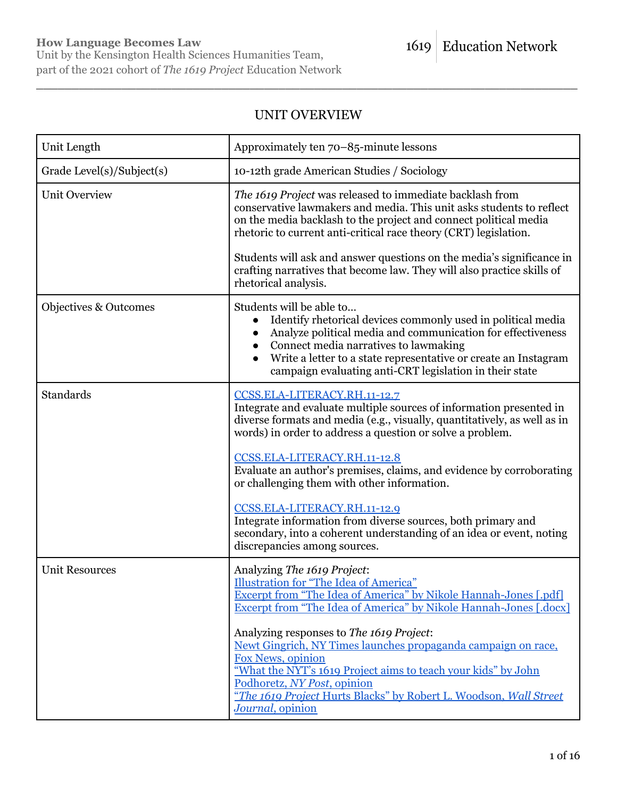Unit by the Kensington Health Sciences Humanities Team, part of the 2021 cohort of *The 1619 Project* Education Network

# UNIT OVERVIEW

\_\_\_\_\_\_\_\_\_\_\_\_\_\_\_\_\_\_\_\_\_\_\_\_\_\_\_\_\_\_\_\_\_\_\_\_\_\_\_\_\_\_\_\_\_\_\_\_\_\_\_\_\_\_\_\_\_\_\_\_\_\_\_\_\_\_\_\_\_\_\_\_\_\_\_\_

| Unit Length               | Approximately ten 70–85-minute lessons                                                                                                                                                                                                                                                                                                                                                                                      |
|---------------------------|-----------------------------------------------------------------------------------------------------------------------------------------------------------------------------------------------------------------------------------------------------------------------------------------------------------------------------------------------------------------------------------------------------------------------------|
| Grade Level(s)/Subject(s) | 10-12th grade American Studies / Sociology                                                                                                                                                                                                                                                                                                                                                                                  |
| <b>Unit Overview</b>      | The 1619 Project was released to immediate backlash from<br>conservative lawmakers and media. This unit asks students to reflect<br>on the media backlash to the project and connect political media<br>rhetoric to current anti-critical race theory (CRT) legislation.<br>Students will ask and answer questions on the media's significance in<br>crafting narratives that become law. They will also practice skills of |
|                           | rhetorical analysis.                                                                                                                                                                                                                                                                                                                                                                                                        |
| Objectives & Outcomes     | Students will be able to<br>Identify rhetorical devices commonly used in political media<br>Analyze political media and communication for effectiveness<br>Connect media narratives to lawmaking<br>Write a letter to a state representative or create an Instagram<br>campaign evaluating anti-CRT legislation in their state                                                                                              |
| <b>Standards</b>          | CCSS.ELA-LITERACY.RH.11-12.7<br>Integrate and evaluate multiple sources of information presented in<br>diverse formats and media (e.g., visually, quantitatively, as well as in<br>words) in order to address a question or solve a problem.                                                                                                                                                                                |
|                           | CCSS.ELA-LITERACY.RH.11-12.8<br>Evaluate an author's premises, claims, and evidence by corroborating<br>or challenging them with other information.                                                                                                                                                                                                                                                                         |
|                           | CCSS.ELA-LITERACY.RH.11-12.9<br>Integrate information from diverse sources, both primary and<br>secondary, into a coherent understanding of an idea or event, noting<br>discrepancies among sources.                                                                                                                                                                                                                        |
| <b>Unit Resources</b>     | Analyzing The 1619 Project:<br>Illustration for "The Idea of America"<br>Excerpt from "The Idea of America" by Nikole Hannah-Jones [.pdf]<br>Excerpt from "The Idea of America" by Nikole Hannah-Jones [.docx]                                                                                                                                                                                                              |
|                           | Analyzing responses to The 1619 Project:<br>Newt Gingrich, NY Times launches propaganda campaign on race,<br>Fox News, opinion<br>"What the NYT's 1619 Project aims to teach your kids" by John<br>Podhoretz, NY Post, opinion<br>"The 1619 Project Hurts Blacks" by Robert L. Woodson, Wall Street<br>Journal, opinion                                                                                                     |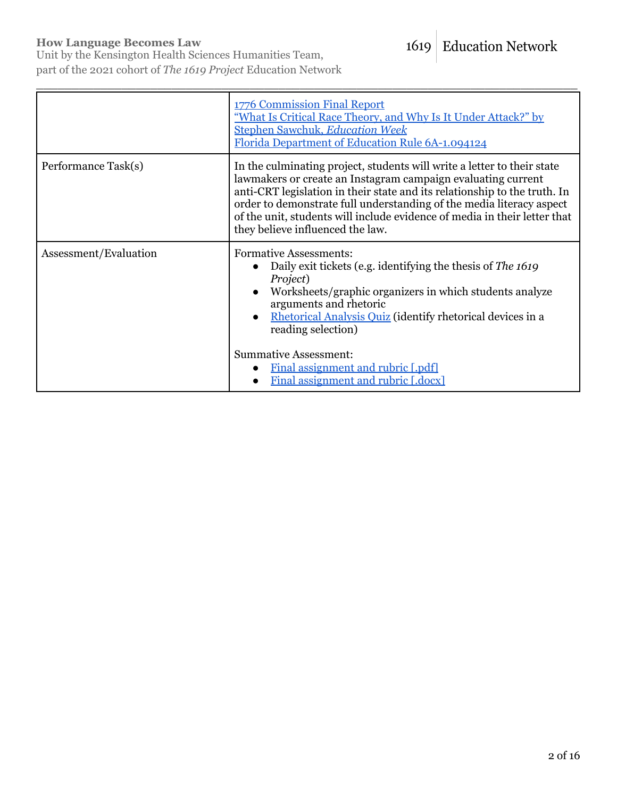### **How Language Becomes Law**

Unit by the Kensington Health Sciences Humanities Team, part of the 2021 cohort of *The 1619 Project* Education Network

|                     | <b>1776 Commission Final Report</b><br>"What Is Critical Race Theory, and Why Is It Under Attack?" by<br><b>Stephen Sawchuk, Education Week</b><br>Florida Department of Education Rule 6A-1.094124                                                                                                                                                                                                           |
|---------------------|---------------------------------------------------------------------------------------------------------------------------------------------------------------------------------------------------------------------------------------------------------------------------------------------------------------------------------------------------------------------------------------------------------------|
| Performance Task(s) | In the culminating project, students will write a letter to their state<br>lawmakers or create an Instagram campaign evaluating current<br>anti-CRT legislation in their state and its relationship to the truth. In<br>order to demonstrate full understanding of the media literacy aspect<br>of the unit, students will include evidence of media in their letter that<br>they believe influenced the law. |
|                     |                                                                                                                                                                                                                                                                                                                                                                                                               |

\_\_\_\_\_\_\_\_\_\_\_\_\_\_\_\_\_\_\_\_\_\_\_\_\_\_\_\_\_\_\_\_\_\_\_\_\_\_\_\_\_\_\_\_\_\_\_\_\_\_\_\_\_\_\_\_\_\_\_\_\_\_\_\_\_\_\_\_\_\_\_\_\_\_\_\_

| Assessment/Evaluation | <b>Formative Assessments:</b><br>• Daily exit tickets (e.g. identifying the thesis of The $1619$<br>Project)<br>• Worksheets/graphic organizers in which students analyze<br>arguments and rhetoric<br>• Rhetorical Analysis Quiz (identify rhetorical devices in a<br>reading selection) |
|-----------------------|-------------------------------------------------------------------------------------------------------------------------------------------------------------------------------------------------------------------------------------------------------------------------------------------|
|                       | <b>Summative Assessment:</b>                                                                                                                                                                                                                                                              |
|                       | Final assignment and rubric [.pdf]<br>$\bullet$                                                                                                                                                                                                                                           |
|                       | Final assignment and rubric [.docx]                                                                                                                                                                                                                                                       |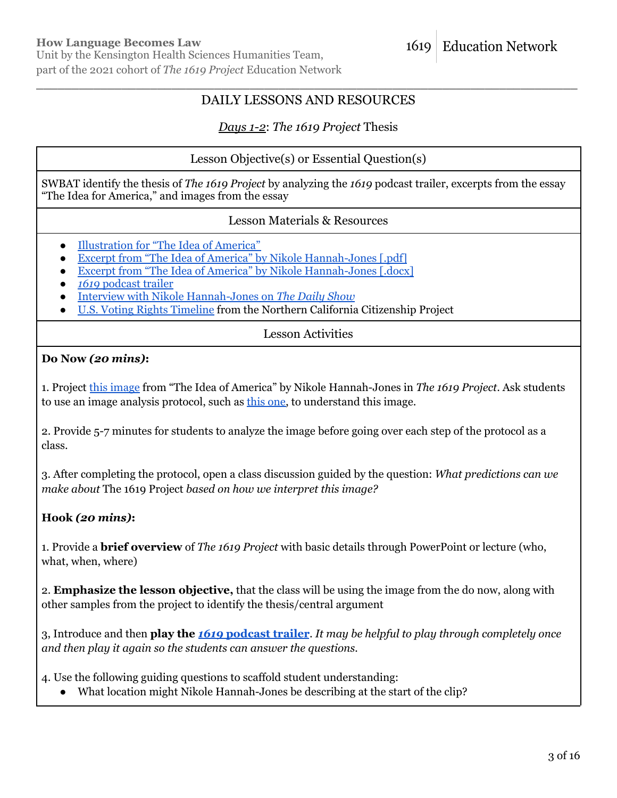# \_\_\_\_\_\_\_\_\_\_\_\_\_\_\_\_\_\_\_\_\_\_\_\_\_\_\_\_\_\_\_\_\_\_\_\_\_\_\_\_\_\_\_\_\_\_\_\_\_\_\_\_\_\_\_\_\_\_\_\_\_\_\_\_\_\_\_\_\_\_\_\_\_\_\_\_ DAILY LESSONS AND RESOURCES

# *Days 1-2*: *The 1619 Project* Thesis

# Lesson Objective(s) or Essential Question(s)

SWBAT identify the thesis of *The 1619 Project* by analyzing the *1619* podcast trailer, excerpts from the essay "The Idea for America," and images from the essay

### Lesson Materials & Resources

- [Illustration](https://1619education.org/sites/default/files/2022-03/The%20Idea%20of%20America%20illustration.pdf) for "The Idea of America"
- Excerpt from "The Idea of America" by Nikole [Hannah-Jones](https://1619education.org/sites/default/files/2022-03/The%20Idea%20of%20America%20Excerpt.pdf) [.pdf]
- Excerpt from "The Idea of America" by Nikole [Hannah-Jones](https://1619education.org/sites/default/files/2022-03/The%20Idea%20of%20America%20Excerpt.docx) [.docx]
- *1619* [podcast](https://www.nytimes.com/2019/08/22/podcasts/1619-trailer.html) trailer
- Interview with Nikole [Hannah-Jones](https://www.youtube.com/watch?v=cMOHvXHLNeM) on *The Daily Show*
- U.S. Voting Rights [Timeline](https://a.s.kqed.net/pdf/education/digitalmedia/us-voting-rights-timeline.pdf) from the Northern California Citizenship Project

Lesson Activities

# **Do Now** *(20 mins)***:**

1. Project this [image](https://1619education.org/sites/default/files/2022-03/The%20Idea%20of%20America%20illustration.pdf) from "The Idea of America" by Nikole Hannah-Jones in *The 1619 Project*. Ask students to use an image analysis protocol, such as this [one,](https://1619education.org/sites/default/files/2022-03/Practice%20Image%20Analysis_0.pdf) to understand this image.

2. Provide 5-7 minutes for students to analyze the image before going over each step of the protocol as a class.

3. After completing the protocol, open a class discussion guided by the question: *What predictions can we make about* The 1619 Project *based on how we interpret this image?*

# **Hook** *(20 mins)***:**

1. Provide a **brief overview** of *The 1619 Project* with basic details through PowerPoint or lecture (who, what, when, where)

2. **Emphasize the lesson objective,** that the class will be using the image from the do now, along with other samples from the project to identify the thesis/central argument

3, Introduce and then **play the** *1619* **[podcast](https://www.nytimes.com/2019/08/22/podcasts/1619-trailer.html) trailer**. *It may be helpful to play through completely once and then play it again so the students can answer the questions.*

4. Use the following guiding questions to scaffold student understanding:

• What location might Nikole Hannah-Jones be describing at the start of the clip?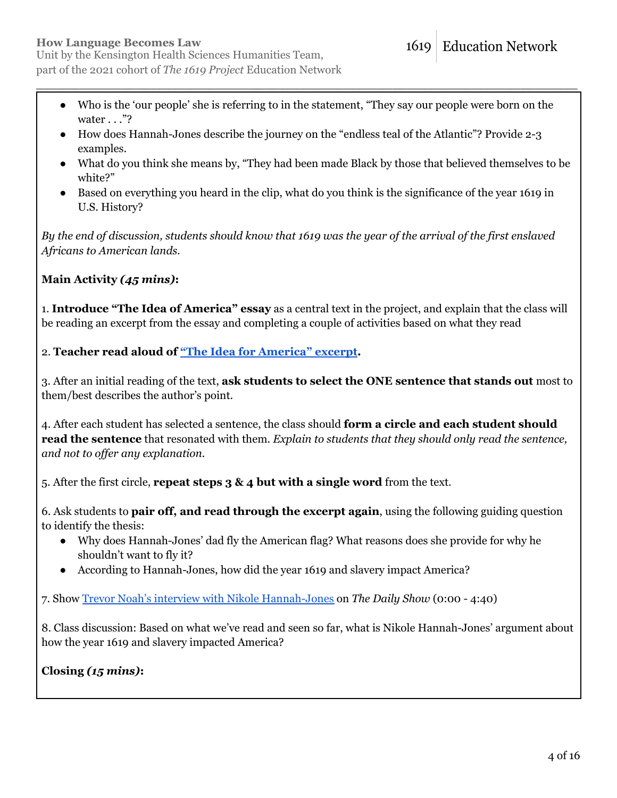● Who is the 'our people' she is referring to in the statement, "They say our people were born on the water . . ."?

\_\_\_\_\_\_\_\_\_\_\_\_\_\_\_\_\_\_\_\_\_\_\_\_\_\_\_\_\_\_\_\_\_\_\_\_\_\_\_\_\_\_\_\_\_\_\_\_\_\_\_\_\_\_\_\_\_\_\_\_\_\_\_\_\_\_\_\_\_\_\_\_\_\_\_\_

- How does Hannah-Jones describe the journey on the "endless teal of the Atlantic"? Provide 2-3 examples.
- What do you think she means by, "They had been made Black by those that believed themselves to be white?"
- Based on everything you heard in the clip, what do you think is the significance of the year 1619 in U.S. History?

By the end of discussion, students should know that 1619 was the year of the arrival of the first enslaved *Africans to American lands.*

# **Main Activity** *(45 mins)***:**

1. **Introduce "The Idea of America" essay** as a central text in the project, and explain that the class will be reading an excerpt from the essay and completing a couple of activities based on what they read

2. **Teacher read aloud of "The Idea for [America"](https://1619education.org/sites/default/files/2022-03/The%20Idea%20of%20America%20Excerpt.pdf) excerpt.**

3. After an initial reading of the text, **ask students to select the ONE sentence that stands out** most to them/best describes the author's point.

4. After each student has selected a sentence, the class should **form a circle and each student should read the sentence** that resonated with them. *Explain to students that they should only read the sentence, and not to of er any explanation.*

5. After the first circle, **repeat steps 3 & 4 but with a single word** from the text.

6. Ask students to **pair off, and read through the excerpt again**, using the following guiding question to identify the thesis:

- Why does Hannah-Jones' dad fly the American flag? What reasons does she provide for why he shouldn't want to fly it?
- According to Hannah-Jones, how did the year 1619 and slavery impact America?

7. Show Trevor Noah's interview with Nikole [Hannah-Jones](https://www.youtube.com/watch?v=cMOHvXHLNeM) on *The Daily Show* (0:00 - 4:40)

8. Class discussion: Based on what we've read and seen so far, what is Nikole Hannah-Jones' argument about how the year 1619 and slavery impacted America?

**Closing** *(15 mins)***:**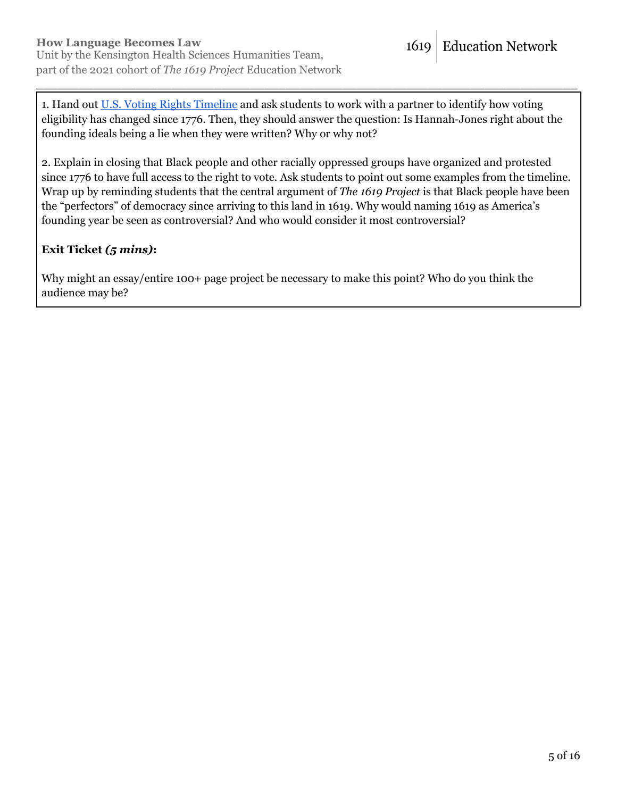1. Hand out U.S. Voting Rights [Timeline](https://a.s.kqed.net/pdf/education/digitalmedia/us-voting-rights-timeline.pdf) and ask students to work with a partner to identify how voting eligibility has changed since 1776. Then, they should answer the question: Is Hannah-Jones right about the founding ideals being a lie when they were written? Why or why not?

\_\_\_\_\_\_\_\_\_\_\_\_\_\_\_\_\_\_\_\_\_\_\_\_\_\_\_\_\_\_\_\_\_\_\_\_\_\_\_\_\_\_\_\_\_\_\_\_\_\_\_\_\_\_\_\_\_\_\_\_\_\_\_\_\_\_\_\_\_\_\_\_\_\_\_\_

2. Explain in closing that Black people and other racially oppressed groups have organized and protested since 1776 to have full access to the right to vote. Ask students to point out some examples from the timeline. Wrap up by reminding students that the central argument of *The 1619 Project* is that Black people have been the "perfectors" of democracy since arriving to this land in 1619. Why would naming 1619 as America's founding year be seen as controversial? And who would consider it most controversial?

# **Exit Ticket** *(5 mins)***:**

Why might an essay/entire 100+ page project be necessary to make this point? Who do you think the audience may be?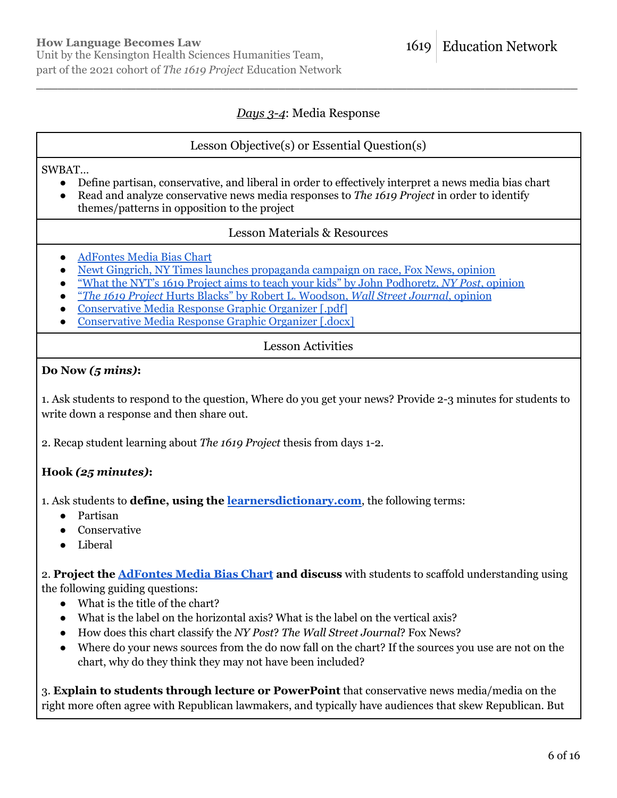# *Days 3-4*: Media Response

\_\_\_\_\_\_\_\_\_\_\_\_\_\_\_\_\_\_\_\_\_\_\_\_\_\_\_\_\_\_\_\_\_\_\_\_\_\_\_\_\_\_\_\_\_\_\_\_\_\_\_\_\_\_\_\_\_\_\_\_\_\_\_\_\_\_\_\_\_\_\_\_\_\_\_\_

### Lesson Objective(s) or Essential Question(s)

SWBAT…

- Define partisan, conservative, and liberal in order to effectively interpret a news media bias chart
- Read and analyze conservative news media responses to *The 1619 Project* in order to identify themes/patterns in opposition to the project

### Lesson Materials & Resources

- [AdFontes](https://www.adfontesmedia.com/static-mbc/?utm_source=HomePage_StaticMBC_Button&utm_medium=OnWebSite_Button) Media Bias Chart
- Newt Gingrich, NY Times launches [propaganda](https://video.foxnews.com/v/6074404234001) campaign on race, Fox News, opinion
- "What the NYT's 1619 Project aims to teach your kids" by John [Podhoretz,](https://nypost.com/2020/03/02/what-the-1619-project-aims-to-teach-your-kids/) *NY Post*, opinion
- "*The 1619 Project* Hurts Blacks" by Robert L. [Woodson,](https://www.wsj.com/articles/the-1619-project-hurts-blacks-11567033108) *Wall Street Journal*, opinion
- [Conservative](https://1619education.org/sites/default/files/2022-03/Conservative%20Media%20Response%20Graphic%20Organizer.pdf) Media Response Graphic Organizer [.pdf]
- [Conservative](https://1619education.org/sites/default/files/2022-03/Conservative%20Media%20Response%20Graphic%20Organizer.docx) Media Response Graphic Organizer [.docx]

# Lesson Activities

### **Do Now** *(5 mins)***:**

1. Ask students to respond to the question, Where do you get your news? Provide 2-3 minutes for students to write down a response and then share out.

2. Recap student learning about *The 1619 Project* thesis from days 1-2.

# **Hook** *(25 minutes)***:**

1. Ask students to **define, using the [learnersdictionary.com](http://www.learnersdictionary.com)**, the following terms:

- Partisan
- Conservative
- Liberal

2. **Project the [AdFontes](https://www.adfontesmedia.com/static-mbc/?utm_source=HomePage_StaticMBC_Button&utm_medium=OnWebSite_Button) Media Bias Chart and discuss** with students to scaffold understanding using the following guiding questions:

- What is the title of the chart?
- What is the label on the horizontal axis? What is the label on the vertical axis?
- How does this chart classify the *NY Post*? *The Wall Street Journal*? Fox News?
- Where do your news sources from the do now fall on the chart? If the sources you use are not on the chart, why do they think they may not have been included?

3. **Explain to students through lecture or PowerPoint** that conservative news media/media on the right more often agree with Republican lawmakers, and typically have audiences that skew Republican. But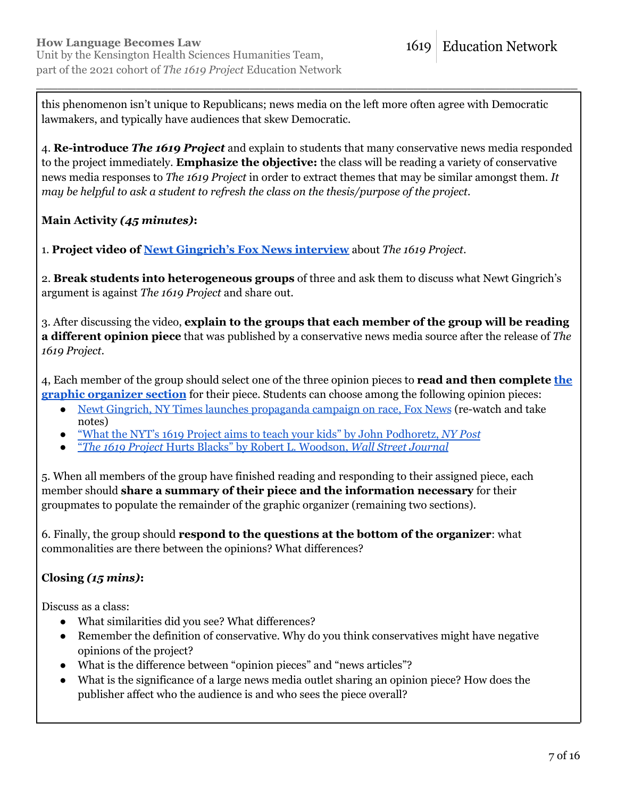this phenomenon isn't unique to Republicans; news media on the left more often agree with Democratic lawmakers, and typically have audiences that skew Democratic.

\_\_\_\_\_\_\_\_\_\_\_\_\_\_\_\_\_\_\_\_\_\_\_\_\_\_\_\_\_\_\_\_\_\_\_\_\_\_\_\_\_\_\_\_\_\_\_\_\_\_\_\_\_\_\_\_\_\_\_\_\_\_\_\_\_\_\_\_\_\_\_\_\_\_\_\_

4. **Re-introduce** *The 1619 Project* and explain to students that many conservative news media responded to the project immediately. **Emphasize the objective:** the class will be reading a variety of conservative news media responses to *The 1619 Project* in order to extract themes that may be similar amongst them. *It may be helpful to ask a student to refresh the class on the thesis/purpose of the project.*

# **Main Activity** *(45 minutes)***:**

1. **Project video of Newt [Gingrich's](https://video.foxnews.com/v/6074404234001) Fox News interview** about *The 1619 Project*.

2. **Break students into heterogeneous groups** of three and ask them to discuss what Newt Gingrich's argument is against *The 1619 Project* and share out.

3. After discussing the video, **explain to the groups that each member of the group will be reading a different opinion piece** that was published by a conservative news media source after the release of *The 1619 Project*.

4, Each member of the group should select one of the three opinion pieces to **read and then complete [the](https://1619education.org/sites/default/files/2022-03/Conservative%20Media%20Response%20Graphic%20Organizer.pdf) graphic [organizer](https://1619education.org/sites/default/files/2022-03/Conservative%20Media%20Response%20Graphic%20Organizer.pdf) section** for their piece. Students can choose among the following opinion pieces:

- Newt Gingrich, NY Times launches [propaganda](https://video.foxnews.com/v/6074404234001) campaign on race, Fox News (re-watch and take notes)
- "What the NYT's 1619 Project aims to teach your kids" by John [Podhoretz,](https://nypost.com/2020/03/02/what-the-1619-project-aims-to-teach-your-kids/) *NY Post*
- "*The 1619 Project* Hurts Blacks" by Robert L. [Woodson,](https://www.wsj.com/articles/the-1619-project-hurts-blacks-11567033108) *Wall Street Journal*

5. When all members of the group have finished reading and responding to their assigned piece, each member should **share a summary of their piece and the information necessary** for their groupmates to populate the remainder of the graphic organizer (remaining two sections).

6. Finally, the group should **respond to the questions at the bottom of the organizer**: what commonalities are there between the opinions? What differences?

# **Closing** *(15 mins)***:**

Discuss as a class:

- What similarities did you see? What differences?
- Remember the definition of conservative. Why do you think conservatives might have negative opinions of the project?
- What is the difference between "opinion pieces" and "news articles"?
- What is the significance of a large news media outlet sharing an opinion piece? How does the publisher affect who the audience is and who sees the piece overall?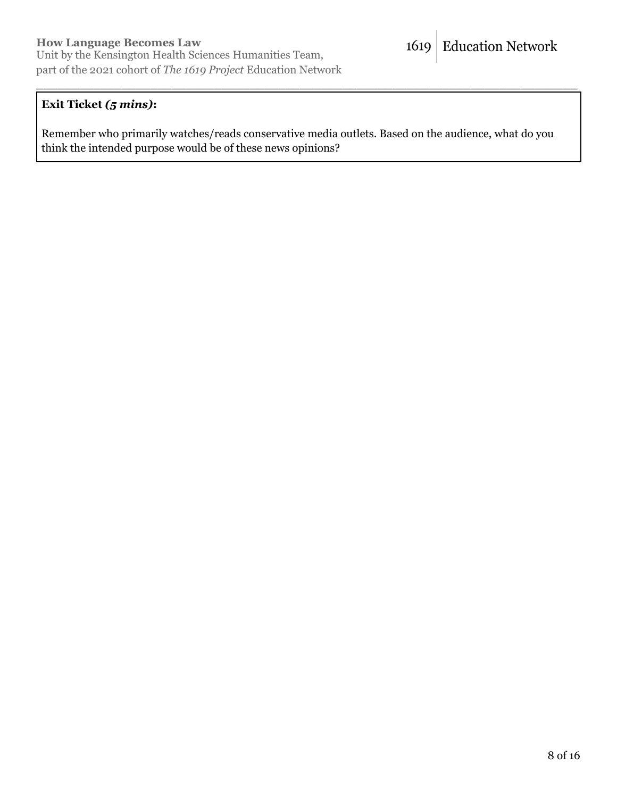# **Exit Ticket** *(5 mins)***:**

Remember who primarily watches/reads conservative media outlets. Based on the audience, what do you think the intended purpose would be of these news opinions?

\_\_\_\_\_\_\_\_\_\_\_\_\_\_\_\_\_\_\_\_\_\_\_\_\_\_\_\_\_\_\_\_\_\_\_\_\_\_\_\_\_\_\_\_\_\_\_\_\_\_\_\_\_\_\_\_\_\_\_\_\_\_\_\_\_\_\_\_\_\_\_\_\_\_\_\_

**Education Network** 

1619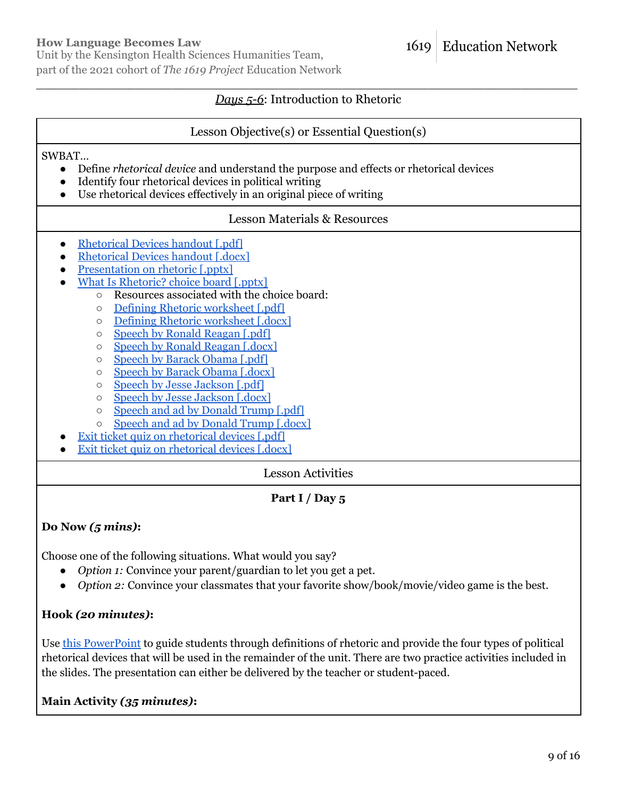Unit by the Kensington Health Sciences Humanities Team, part of the 2021 cohort of *The 1619 Project* Education Network

#### **Education Network** 1619

# \_\_\_\_\_\_\_\_\_\_\_\_\_\_\_\_\_\_\_\_\_\_\_\_\_\_\_\_\_\_\_\_\_\_\_\_\_\_\_\_\_\_\_\_\_\_\_\_\_\_\_\_\_\_\_\_\_\_\_\_\_\_\_\_\_\_\_\_\_\_\_\_\_\_\_\_ *Days 5-6*: Introduction to Rhetoric

### Lesson Objective(s) or Essential Question(s)

#### SWBAT…

- Define *rhetorical device* and understand the purpose and effects or rhetorical devices
- Identify four rhetorical devices in political writing
- Use rhetorical devices effectively in an original piece of writing

### Lesson Materials & Resources

- [Rhetorical](https://1619education.org/sites/default/files/2022-03/Rhetorical%20Devices%20handout.pdf) Devices handout [.pdf]
- [Rhetorical](https://1619education.org/sites/default/files/2022-03/Rhetorical%20Devices%20handout.docx) Devices handout [.docx]
- [Presentation](https://1619education.org/sites/default/files/2022-03/1619%20Rhetorical%20Analysis.pptx) on rhetoric [.pptx]
- What Is [Rhetoric?](https://1619education.org/sites/default/files/2022-03/1619%20Rhetorical%20Devices%20-%20Choice%20Board.pptx) choice board [.pptx]
	- Resources associated with the choice board:
		- Defining Rhetoric [worksheet](https://1619education.org/sites/default/files/2022-03/Defining%20rhetoric.pdf) [.pdf]
		- Defining Rhetoric [worksheet](https://1619education.org/sites/default/files/2022-03/Defining%20rhetoric.docx) [.docx]
		- Speech by Ronald [Reagan](https://1619education.org/sites/default/files/2022-03/Ronald%20Reagan%20Speech_0.pdf) [.pdf]
		- Speech by Ronald [Reagan](https://1619education.org/sites/default/files/2022-03/Ronald%20Reagan%20Speech_0.docx) [.docx]
		- Speech by Barack [Obama](https://1619education.org/sites/default/files/2022-03/Barack%20Obama%20Speech.pdf) [.pdf]
		- Speech by Barack [Obama](https://1619education.org/sites/default/files/2022-03/Barack%20Obama%20Speech.docx) [.docx]
		- Speech by Jesse [Jackson](https://1619education.org/sites/default/files/2022-03/Jesse%20Jackson%20Speech.pdf) [.pdf]
		- Speech by Jesse [Jackson](https://1619education.org/sites/default/files/2022-03/Jesse%20Jackson%20Speech.docx) [.docx]
		- Speech and ad by [Donald](https://1619education.org/sites/default/files/2022-03/Donald%20Trump%20Speech%20and%20Ad.pdf) Trump [.pdf]
		- Speech and ad by [Donald](https://1619education.org/sites/default/files/2022-03/Donald%20Trump%20Speech%20and%20Ad.docx) Trump [.docx]
- **Exit ticket quiz on [rhetorical](https://1619education.org/sites/default/files/2022-03/Rhetorical%20Devices%20Exit%20Ticket%20Quiz.pdf) devices [.pdf]**
- **Exit ticket quiz on [rhetorical](https://1619education.org/sites/default/files/2022-03/Rhetorical%20Devices%20Exit%20Ticket%20Quiz.docx) devices [.docx]**

# Lesson Activities

# **Part I / Day 5**

# **Do Now** *(5 mins)***:**

Choose one of the following situations. What would you say?

- *Option 1:* Convince your parent/guardian to let you get a pet.
- *Option 2:* Convince your classmates that your favorite show/book/movie/video game is the best.

# **Hook** *(20 minutes)***:**

Use this [PowerPoint](https://1619education.org/sites/default/files/2022-03/1619%20Rhetorical%20Analysis.pptx) to guide students through definitions of rhetoric and provide the four types of political rhetorical devices that will be used in the remainder of the unit. There are two practice activities included in the slides. The presentation can either be delivered by the teacher or student-paced.

**Main Activity** *(35 minutes)***:**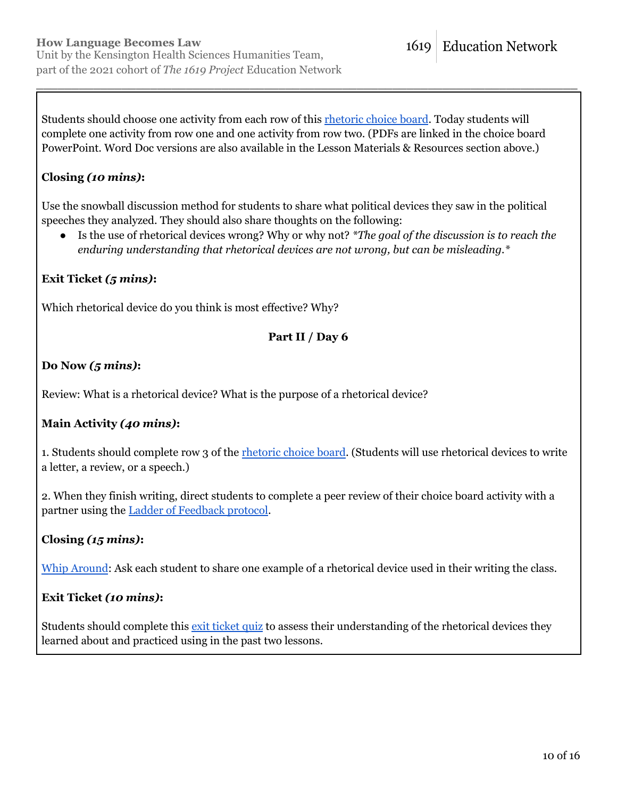Students should choose one activity from each row of this [rhetoric](https://1619education.org/sites/default/files/2022-03/1619%20Rhetorical%20Devices%20-%20Choice%20Board.pptx) choice board. Today students will complete one activity from row one and one activity from row two. (PDFs are linked in the choice board PowerPoint. Word Doc versions are also available in the Lesson Materials & Resources section above.)

\_\_\_\_\_\_\_\_\_\_\_\_\_\_\_\_\_\_\_\_\_\_\_\_\_\_\_\_\_\_\_\_\_\_\_\_\_\_\_\_\_\_\_\_\_\_\_\_\_\_\_\_\_\_\_\_\_\_\_\_\_\_\_\_\_\_\_\_\_\_\_\_\_\_\_\_

# **Closing** *(10 mins)***:**

Use the snowball discussion method for students to share what political devices they saw in the political speeches they analyzed. They should also share thoughts on the following:

● Is the use of rhetorical devices wrong? Why or why not? *\*The goal of the discussion is to reach the enduring understanding that rhetorical devices are not wrong, but can be misleading.\**

# **Exit Ticket** *(5 mins)***:**

Which rhetorical device do you think is most effective? Why?

# **Part II / Day 6**

# **Do Now** *(5 mins)***:**

Review: What is a rhetorical device? What is the purpose of a rhetorical device?

# **Main Activity** *(40 mins)***:**

1. Students should complete row 3 of the *[rhetoric](https://1619education.org/sites/default/files/2022-03/1619%20Rhetorical%20Devices%20-%20Choice%20Board.pptx) choice board*. (Students will use rhetorical devices to write a letter, a review, or a speech.)

2. When they finish writing, direct students to complete a peer review of their choice board activity with a partner using the Ladder of [Feedback](http://www.makinglearningvisibleresources.org/uploads/3/4/1/9/3419723/ladder_of_feedbackguide.pdf) protocol.

# **Closing** *(15 mins)***:**

Whip [Around](https://www.theteachertoolkit.com/index.php/tool/whip-around): Ask each student to share one example of a rhetorical device used in their writing the class.

# **Exit Ticket** *(10 mins)***:**

Students should complete this exit [ticket](https://1619education.org/sites/default/files/2022-03/Rhetorical%20Devices%20Exit%20Ticket%20Quiz.pdf) quiz to assess their understanding of the rhetorical devices they learned about and practiced using in the past two lessons.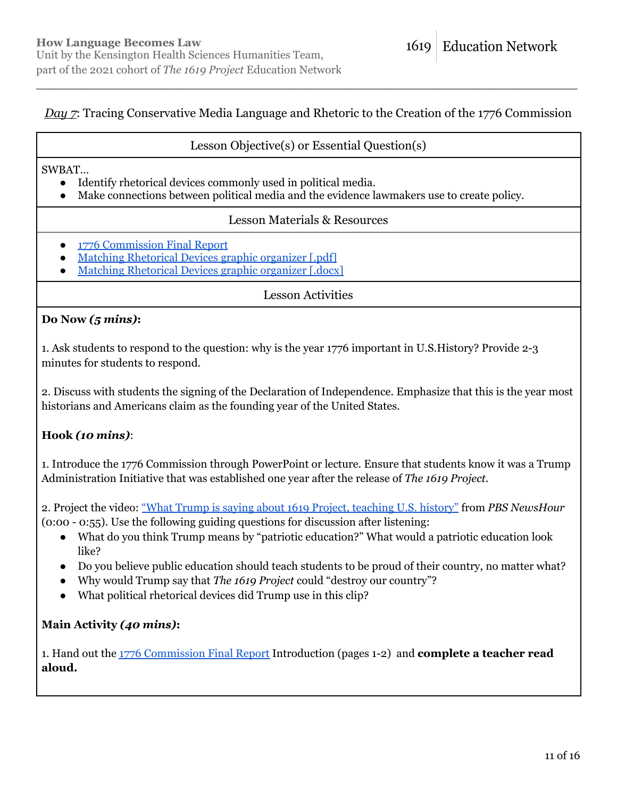# *Day 7*: Tracing Conservative Media Language and Rhetoric to the Creation of the 1776 Commission

\_\_\_\_\_\_\_\_\_\_\_\_\_\_\_\_\_\_\_\_\_\_\_\_\_\_\_\_\_\_\_\_\_\_\_\_\_\_\_\_\_\_\_\_\_\_\_\_\_\_\_\_\_\_\_\_\_\_\_\_\_\_\_\_\_\_\_\_\_\_\_\_\_\_\_\_

### Lesson Objective(s) or Essential Question(s)

SWBAT…

- Identify rhetorical devices commonly used in political media.
- Make connections between political media and the evidence lawmakers use to create policy.

### Lesson Materials & Resources

- 1776 [Commission](https://trumpwhitehouse.archives.gov/wp-content/uploads/2021/01/The-Presidents-Advisory-1776-Commission-Final-Report.pdf) Final Report
- Matching [Rhetorical](https://1619education.org/sites/default/files/2022-03/Matching%20Rhetorical%20Devices%20Organizer.pdf) Devices graphic organizer [.pdf]
- Matching [Rhetorical](https://1619education.org/sites/default/files/2022-03/Matching%20Rhetorical%20Devices%20Organizer.docx) Devices graphic organizer [.docx]

### Lesson Activities

### **Do Now** *(5 mins)***:**

1. Ask students to respond to the question: why is the year 1776 important in U.S.History? Provide 2-3 minutes for students to respond.

2. Discuss with students the signing of the Declaration of Independence. Emphasize that this is the year most historians and Americans claim as the founding year of the United States.

# **Hook** *(10 mins)*:

1. Introduce the 1776 Commission through PowerPoint or lecture. Ensure that students know it was a Trump Administration Initiative that was established one year after the release of *The 1619 Project*.

2. Project the video: "What Trump is saying about 1619 Project, [teaching](https://www.youtube.com/watch?v=gld1DYPYDGU) U.S. history" from *PBS NewsHour* (0:00 - 0:55). Use the following guiding questions for discussion after listening:

- What do you think Trump means by "patriotic education?" What would a patriotic education look like?
- Do you believe public education should teach students to be proud of their country, no matter what?
- Why would Trump say that *The 1619 Project* could "destroy our country"?
- What political rhetorical devices did Trump use in this clip?

### **Main Activity** *(40 mins)***:**

1. Hand out the 1776 [Commission](https://trumpwhitehouse.archives.gov/wp-content/uploads/2021/01/The-Presidents-Advisory-1776-Commission-Final-Report.pdf) Final Report Introduction (pages 1-2) and **complete a teacher read aloud.**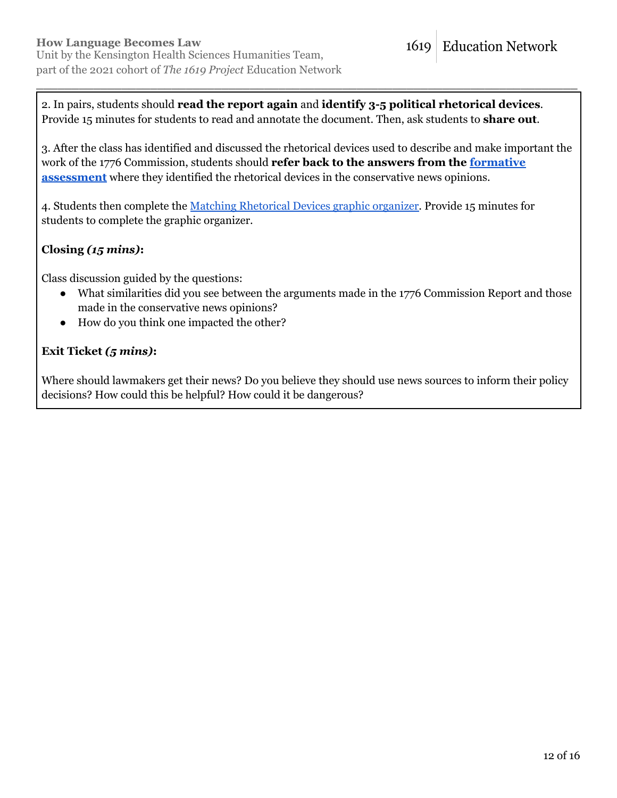2. In pairs, students should **read the report again** and **identify 3-5 political rhetorical devices**. Provide 15 minutes for students to read and annotate the document. Then, ask students to **share out**.

3. After the class has identified and discussed the rhetorical devices used to describe and make important the work of the 1776 Commission, students should **refer back to the answers from the [formative](https://1619education.org/sites/default/files/2022-03/Conservative%20Media%20Response%20Graphic%20Organizer.pdf) [assessment](https://1619education.org/sites/default/files/2022-03/Conservative%20Media%20Response%20Graphic%20Organizer.pdf)** where they identified the rhetorical devices in the conservative news opinions.

\_\_\_\_\_\_\_\_\_\_\_\_\_\_\_\_\_\_\_\_\_\_\_\_\_\_\_\_\_\_\_\_\_\_\_\_\_\_\_\_\_\_\_\_\_\_\_\_\_\_\_\_\_\_\_\_\_\_\_\_\_\_\_\_\_\_\_\_\_\_\_\_\_\_\_\_

4. Students then complete the Matching [Rhetorical](https://1619education.org/sites/default/files/2022-03/Matching%20Rhetorical%20Devices%20Organizer.pdf) Devices graphic organizer. Provide 15 minutes for students to complete the graphic organizer.

# **Closing** *(15 mins)***:**

Class discussion guided by the questions:

- What similarities did you see between the arguments made in the 1776 Commission Report and those made in the conservative news opinions?
- How do you think one impacted the other?

# **Exit Ticket** *(5 mins)***:**

Where should lawmakers get their news? Do you believe they should use news sources to inform their policy decisions? How could this be helpful? How could it be dangerous?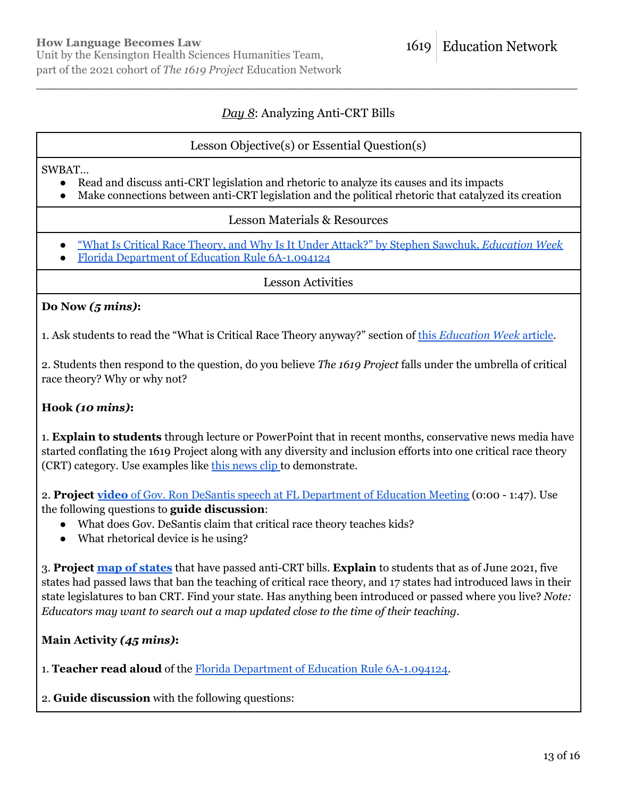# *Day 8*: Analyzing Anti-CRT Bills

\_\_\_\_\_\_\_\_\_\_\_\_\_\_\_\_\_\_\_\_\_\_\_\_\_\_\_\_\_\_\_\_\_\_\_\_\_\_\_\_\_\_\_\_\_\_\_\_\_\_\_\_\_\_\_\_\_\_\_\_\_\_\_\_\_\_\_\_\_\_\_\_\_\_\_\_

# Lesson Objective(s) or Essential Question(s)

SWBAT…

- Read and discuss anti-CRT legislation and rhetoric to analyze its causes and its impacts
- Make connections between anti-CRT legislation and the political rhetoric that catalyzed its creation

### Lesson Materials & Resources

- "What Is Critical Race Theory, and Why Is It Under Attack?" by Stephen Sawchuk, *[Education](https://www.edweek.org/leadership/what-is-critical-race-theory-and-why-is-it-under-attack/2021/05) Week*
- *●* Florida Department of Education Rule [6A-1.094124](https://www.law.cornell.edu/regulations/florida/Fla-Admin-Code-r-6A-1-094124#:~:text=(a)%20School%20districts%20must%20annually,the%20impacts%20of%20substance%20abuse.)

Lesson Activities

### **Do Now** *(5 mins)***:**

1. Ask students to read the "What is Critical Race Theory anyway?" section of this *[Education](https://www.edweek.org/leadership/what-is-critical-race-theory-and-why-is-it-under-attack/2021/05) Week* article.

2. Students then respond to the question, do you believe *The 1619 Project* falls under the umbrella of critical race theory? Why or why not?

# **Hook** *(10 mins)***:**

1. **Explain to students** through lecture or PowerPoint that in recent months, conservative news media have started conflating the 1619 Project along with any diversity and inclusion efforts into one critical race theory (CRT) category. Use examples like this [news](https://www.cotton.senate.gov/news/videos/watch/july-20-2020-senator-cotton-joins-fox-news-to-talk-about-critical-race-theory-in-schools) clip to demonstrate.

2. **Project video** of Gov. Ron DeSantis speech at FL [Department](https://www.youtube.com/watch?v=xUt2I75wQEk) of Education Meeting (0:00 - 1:47). Use the following questions to **guide discussion**:

- What does Gov. DeSantis claim that critical race theory teaches kids?
- What rhetorical device is he using?

3. **Project map of [states](https://www.nbcnews.com/news/nbcblk/map-see-which-states-have-passed-critical-race-theory-bills-n1271215)** that have passed anti-CRT bills. **Explain** to students that as of June 2021, five states had passed laws that ban the teaching of critical race theory, and 17 states had introduced laws in their state legislatures to ban CRT. Find your state. Has anything been introduced or passed where you live? *Note: Educators may want to search out a map updated close to the time of their teaching.*

**Main Activity** *(45 mins)***:**

1. **Teacher read aloud** of the Florida Department of Education Rule [6A-1.094124.](https://www.law.cornell.edu/regulations/florida/Fla-Admin-Code-r-6A-1-094124#:~:text=(a)%20School%20districts%20must%20annually,the%20impacts%20of%20substance%20abuse.)

2. **Guide discussion** with the following questions: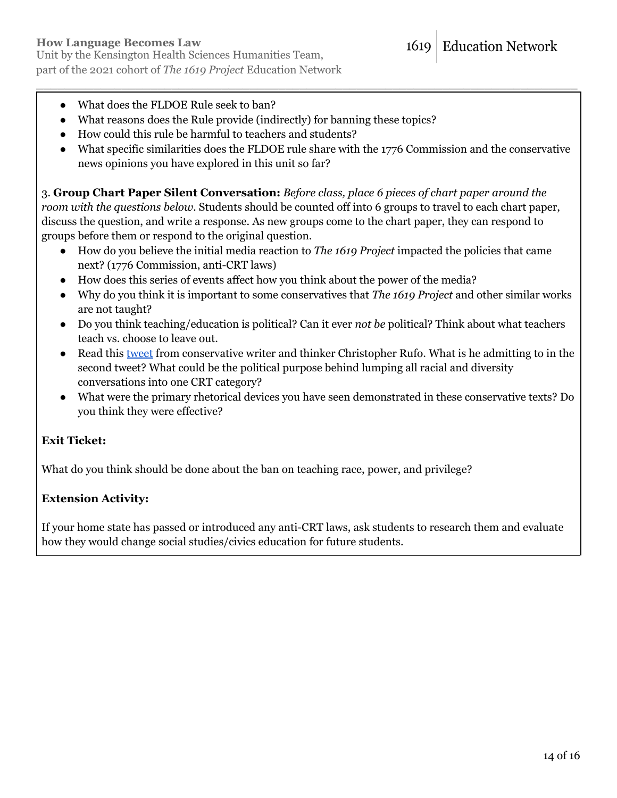part of the 2021 cohort of *The 1619 Project* Education Network

- What does the FLDOE Rule seek to ban?
- What reasons does the Rule provide (indirectly) for banning these topics?
- How could this rule be harmful to teachers and students?
- What specific similarities does the FLDOE rule share with the 1776 Commission and the conservative news opinions you have explored in this unit so far?

\_\_\_\_\_\_\_\_\_\_\_\_\_\_\_\_\_\_\_\_\_\_\_\_\_\_\_\_\_\_\_\_\_\_\_\_\_\_\_\_\_\_\_\_\_\_\_\_\_\_\_\_\_\_\_\_\_\_\_\_\_\_\_\_\_\_\_\_\_\_\_\_\_\_\_\_

3. **Group Chart Paper Silent Conversation:** *Before class, place 6 pieces of chart paper around the room with the questions below.* Students should be counted off into 6 groups to travel to each chart paper, discuss the question, and write a response. As new groups come to the chart paper, they can respond to groups before them or respond to the original question.

- How do you believe the initial media reaction to *The 1619 Project* impacted the policies that came next? (1776 Commission, anti-CRT laws)
- How does this series of events affect how you think about the power of the media?
- Why do you think it is important to some conservatives that *The 1619 Project* and other similar works are not taught?
- Do you think teaching/education is political? Can it ever *not be* political? Think about what teachers teach vs. choose to leave out.
- Read this [tweet](https://twitter.com/realchrisrufo/status/1371541044592996352?lang=en) from conservative writer and thinker Christopher Rufo. What is he admitting to in the second tweet? What could be the political purpose behind lumping all racial and diversity conversations into one CRT category?
- What were the primary rhetorical devices you have seen demonstrated in these conservative texts? Do you think they were effective?

# **Exit Ticket:**

What do you think should be done about the ban on teaching race, power, and privilege?

# **Extension Activity:**

If your home state has passed or introduced any anti-CRT laws, ask students to research them and evaluate how they would change social studies/civics education for future students.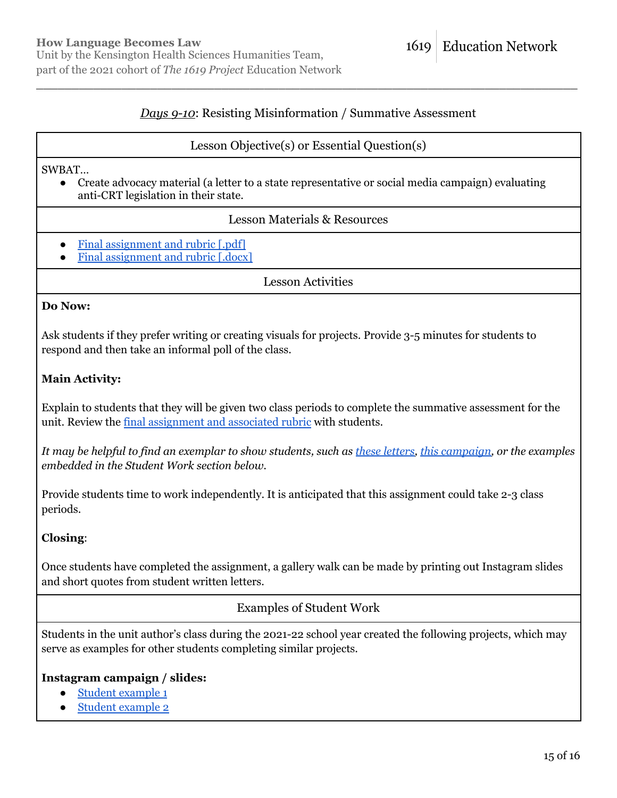# *Days 9-10*: Resisting Misinformation / Summative Assessment

\_\_\_\_\_\_\_\_\_\_\_\_\_\_\_\_\_\_\_\_\_\_\_\_\_\_\_\_\_\_\_\_\_\_\_\_\_\_\_\_\_\_\_\_\_\_\_\_\_\_\_\_\_\_\_\_\_\_\_\_\_\_\_\_\_\_\_\_\_\_\_\_\_\_\_\_

### Lesson Objective(s) or Essential Question(s)

#### SWBAT…

● Create advocacy material (a letter to a state representative or social media campaign) evaluating anti-CRT legislation in their state.

### Lesson Materials & Resources

- Final [assignment](https://1619education.org/sites/default/files/2022-03/Advocating%20for%20an%20Honest%20Education%20Project.pdf) and rubric [.pdf]
- Final [assignment](https://1619education.org/sites/default/files/2022-03/Advocating%20for%20an%20Honest%20Education%20Project.docx) and rubric [.docx]

Lesson Activities

#### **Do Now:**

Ask students if they prefer writing or creating visuals for projects. Provide 3-5 minutes for students to respond and then take an informal poll of the class.

### **Main Activity:**

Explain to students that they will be given two class periods to complete the summative assessment for the unit. Review the final [assignment](https://1619education.org/sites/default/files/2022-03/Advocating%20for%20an%20Honest%20Education%20Project.pdf) and associated rubric with students.

It may be helpful to find an exemplar to show students, such as these [letters,](https://pulitzercenter.org/blog/winners-and-finalists-local-letters-global-change-2021) this [campaign,](https://www.facebook.com/MaxwellDentalCalgary/photos/t.100044324835098/933011176740139/?type=3) or the examples *embedded in the Student Work section below.*

Provide students time to work independently. It is anticipated that this assignment could take 2-3 class periods.

### **Closing**:

Once students have completed the assignment, a gallery walk can be made by printing out Instagram slides and short quotes from student written letters.

# Examples of Student Work

Students in the unit author's class during the 2021-22 school year created the following projects, which may serve as examples for other students completing similar projects.

### **Instagram campaign / slides:**

- Student [example](https://1619education.org/sites/default/files/2022-03/KHSA%20Student%20Work%201.pdf) 1
- Student [example](https://1619education.org/sites/default/files/2022-03/KHSA%20Student%20Work%203.pdf) 2